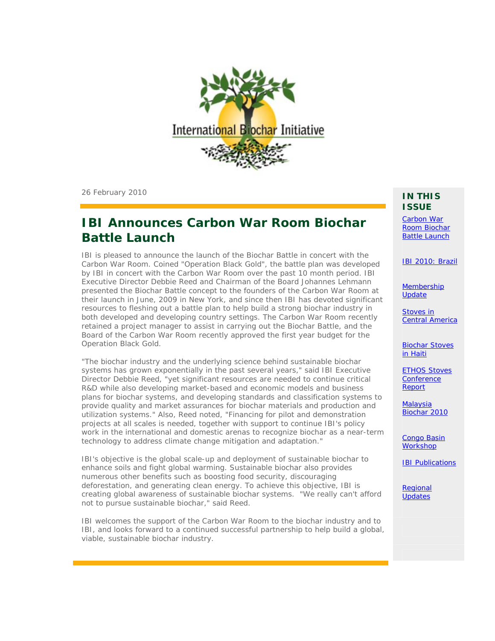

26 February 2010

### **IBI Announces Carbon War Room Biochar Battle Launch**

IBI is pleased to announce the launch of the Biochar Battle in concert with the Carbon War Room. Coined "Operation Black Gold", the battle plan was developed by IBI in concert with the Carbon War Room over the past 10 month period. IBI Executive Director Debbie Reed and Chairman of the Board Johannes Lehmann presented the Biochar Battle concept to the founders of the Carbon War Room at their launch in June, 2009 in New York, and since then IBI has devoted significant resources to fleshing out a battle plan to help build a strong biochar industry in both developed and developing country settings. The Carbon War Room recently retained a project manager to assist in carrying out the Biochar Battle, and the Board of the Carbon War Room recently approved the first year budget for the Operation Black Gold.

"The biochar industry and the underlying science behind sustainable biochar systems has grown exponentially in the past several years," said IBI Executive Director Debbie Reed, "yet significant resources are needed to continue critical R&D while also developing market-based and economic models and business plans for biochar systems, and developing standards and classification systems to provide quality and market assurances for biochar materials and production and utilization systems." Also, Reed noted, "Financing for pilot and demonstration projects at all scales is needed, together with support to continue IBI's policy work in the international and domestic arenas to recognize biochar as a near-term technology to address climate change mitigation and adaptation."

IBI's objective is the global scale-up and deployment of sustainable biochar to enhance soils and fight global warming. Sustainable biochar also provides numerous other benefits such as boosting food security, discouraging deforestation, and generating clean energy. To achieve this objective, IBI is creating global awareness of sustainable biochar systems. "We really can't afford not to pursue sustainable biochar," said Reed.

IBI welcomes the support of the Carbon War Room to the biochar industry and to IBI, and looks forward to a continued successful partnership to help build a global, viable, sustainable biochar industry.

#### **IN THIS ISSUE**

Carbon War Room Biochar **Battle Launch** 

IBI 2010: Brazil

**Membership Update** 

Stoves in Central America

Biochar Stoves in Haiti

ETHOS Stoves **Conference** Report

**Malaysia** Biochar 2010

Congo Basin **Workshop** 

IBI Publications

**Regional Updates**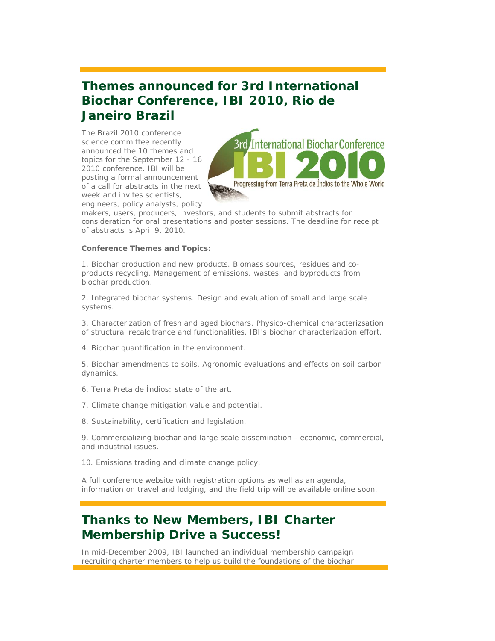## **Themes announced for 3rd International Biochar Conference, IBI 2010, Rio de Janeiro Brazil**

The Brazil 2010 conference science committee recently announced the 10 themes and topics for the September 12 - 16 2010 conference. IBI will be posting a formal announcement of a call for abstracts in the next week and invites scientists, engineers, policy analysts, policy



makers, users, producers, investors, and students to submit abstracts for consideration for oral presentations and poster sessions. The deadline for receipt of abstracts is April 9, 2010.

#### **Conference Themes and Topics:**

1. Biochar production and new products. Biomass sources, residues and coproducts recycling. Management of emissions, wastes, and byproducts from biochar production.

2. Integrated biochar systems. Design and evaluation of small and large scale systems.

3. Characterization of fresh and aged biochars. Physico-chemical characterizsation of structural recalcitrance and functionalities. IBI's biochar characterization effort.

4. Biochar quantification in the environment.

5. Biochar amendments to soils. Agronomic evaluations and effects on soil carbon dynamics.

6. Terra Preta de Índios: state of the art.

- 7. Climate change mitigation value and potential.
- 8. Sustainability, certification and legislation.

9. Commercializing biochar and large scale dissemination - economic, commercial, and industrial issues.

10. Emissions trading and climate change policy.

A full conference website with registration options as well as an agenda, information on travel and lodging, and the field trip will be available online soon.

## **Thanks to New Members, IBI Charter Membership Drive a Success!**

In mid-December 2009, IBI launched an individual membership campaign recruiting charter members to help us build the foundations of the biochar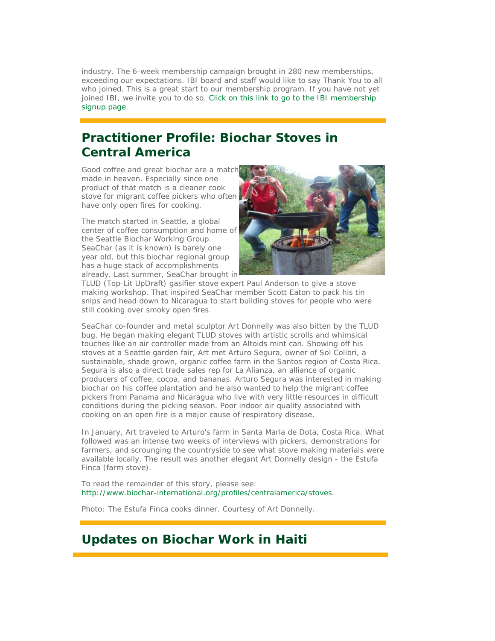industry. The 6-week membership campaign brought in 280 new memberships, exceeding our expectations. IBI board and staff would like to say Thank You to all who joined. This is a great start to our membership program. If you have not yet joined IBI, we invite you to do so. Click on this link to go to the IBI membership signup page.

## **Practitioner Profile: Biochar Stoves in Central America**

Good coffee and great biochar are a match made in heaven. Especially since one product of that match is a cleaner cook stove for migrant coffee pickers who often have only open fires for cooking.

The match started in Seattle, a global center of coffee consumption and home of the Seattle Biochar Working Group. SeaChar (as it is known) is barely one year old, but this biochar regional group has a huge stack of accomplishments already. Last summer, SeaChar brought in



TLUD (Top-Lit UpDraft) gasifier stove expert Paul Anderson to give a stove making workshop. That inspired SeaChar member Scott Eaton to pack his tin snips and head down to Nicaragua to start building stoves for people who were still cooking over smoky open fires.

SeaChar co-founder and metal sculptor Art Donnelly was also bitten by the TLUD bug. He began making elegant TLUD stoves with artistic scrolls and whimsical touches like an air controller made from an Altoids mint can. Showing off his stoves at a Seattle garden fair, Art met Arturo Segura, owner of Sol Colibri, a sustainable, shade grown, organic coffee farm in the Santos region of Costa Rica. Segura is also a direct trade sales rep for La Alianza, an alliance of organic producers of coffee, cocoa, and bananas. Arturo Segura was interested in making biochar on his coffee plantation and he also wanted to help the migrant coffee pickers from Panama and Nicaragua who live with very little resources in difficult conditions during the picking season. Poor indoor air quality associated with cooking on an open fire is a major cause of respiratory disease.

In January, Art traveled to Arturo's farm in Santa Maria de Dota, Costa Rica. What followed was an intense two weeks of interviews with pickers, demonstrations for farmers, and scrounging the countryside to see what stove making materials were available locally. The result was another elegant Art Donnelly design - the Estufa Finca (farm stove).

To read the remainder of this story, please see: http://www.biochar-international.org/profiles/centralamerica/stoves.

*Photo: The Estufa Finca cooks dinner. Courtesy of Art Donnelly.* 

### **Updates on Biochar Work in Haiti**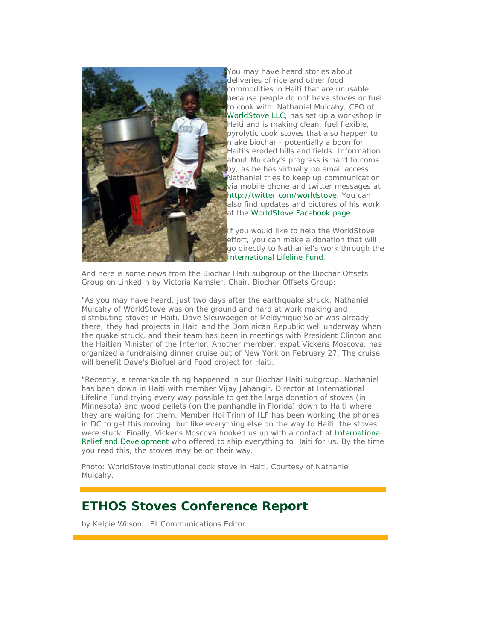

You may have heard stories about deliveries of rice and other food commodities in Haiti that are unusable because people do not have stoves or fuel to cook with. Nathaniel Mulcahy, CEO of WorldStove LLC, has set up a workshop in Haiti and is making clean, fuel flexible, pyrolytic cook stoves that also happen to make biochar - potentially a boon for Haiti's eroded hills and fields. Information about Mulcahy's progress is hard to come by, as he has virtually no email access. Nathaniel tries to keep up communication via mobile phone and twitter messages at http://twitter.com/worldstove. You can also find updates and pictures of his work at the WorldStove Facebook page.

If you would like to help the WorldStove effort, you can make a donation that will go directly to Nathaniel's work through the International Lifeline Fund.

And here is some news from the Biochar Haiti subgroup of the Biochar Offsets Group on LinkedIn by Victoria Kamsler, Chair, Biochar Offsets Group:

"As you may have heard, just two days after the earthquake struck, Nathaniel Mulcahy of WorldStove was on the ground and hard at work making and distributing stoves in Haiti. Dave Sleuwaegen of Meldynique Solar was already there; they had projects in Haiti and the Dominican Republic well underway when the quake struck, and their team has been in meetings with President Clinton and the Haitian Minister of the Interior. Another member, expat Vickens Moscova, has organized a fundraising dinner cruise out of New York on February 27. The cruise will benefit Dave's Biofuel and Food project for Haiti.

"Recently, a remarkable thing happened in our Biochar Haiti subgroup. Nathaniel has been down in Haiti with member Vijay Jahangir, Director at International Lifeline Fund trying every way possible to get the large donation of stoves (in Minnesota) and wood pellets (on the panhandle in Florida) down to Haiti where they are waiting for them. Member Hoi Trinh of ILF has been working the phones in DC to get this moving, but like everything else on the way to Haiti, the stoves were stuck. Finally, Vickens Moscova hooked us up with a contact at International Relief and Development who offered to ship everything to Haiti for us. By the time you read this, the stoves may be on their way.

*Photo: WorldStove institutional cook stove in Haiti. Courtesy of Nathaniel Mulcahy.*

### **ETHOS Stoves Conference Report**

*by Kelpie Wilson, IBI Communications Editor*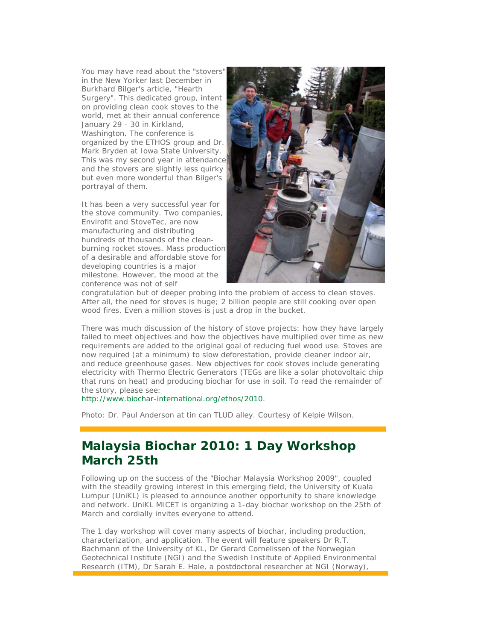You may have read about the "stovers" in the New Yorker last December in Burkhard Bilger's article, "Hearth Surgery". This dedicated group, intent on providing clean cook stoves to the world, met at their annual conference January 29 - 30 in Kirkland, Washington. The conference is organized by the ETHOS group and Dr. Mark Bryden at Iowa State University. This was my second year in attendance and the stovers are slightly less quirky but even more wonderful than Bilger's portrayal of them.

It has been a very successful year for the stove community. Two companies, Envirofit and StoveTec, are now manufacturing and distributing hundreds of thousands of the cleanburning rocket stoves. Mass production of a desirable and affordable stove for developing countries is a major milestone. However, the mood at the conference was not of self



congratulation but of deeper probing into the problem of access to clean stoves. After all, the need for stoves is huge; 2 billion people are still cooking over open wood fires. Even a million stoves is just a drop in the bucket.

There was much discussion of the history of stove projects: how they have largely failed to meet objectives and how the objectives have multiplied over time as new requirements are added to the original goal of reducing fuel wood use. Stoves are now required (at a minimum) to slow deforestation, provide cleaner indoor air, and reduce greenhouse gases. New objectives for cook stoves include generating electricity with Thermo Electric Generators (TEGs are like a solar photovoltaic chip that runs on heat) and producing biochar for use in soil. To read the remainder of the story, please see:

http://www.biochar-international.org/ethos/2010.

*Photo: Dr. Paul Anderson at tin can TLUD alley. Courtesy of Kelpie Wilson.*

### **Malaysia Biochar 2010: 1 Day Workshop March 25th**

Following up on the success of the "Biochar Malaysia Workshop 2009", coupled with the steadily growing interest in this emerging field, the University of Kuala Lumpur (UniKL) is pleased to announce another opportunity to share knowledge and network. UniKL MICET is organizing a 1-day biochar workshop on the 25th of March and cordially invites everyone to attend.

The 1 day workshop will cover many aspects of biochar, including production, characterization, and application. The event will feature speakers Dr R.T. Bachmann of the University of KL, Dr Gerard Cornelissen of the Norwegian Geotechnical Institute (NGI) and the Swedish Institute of Applied Environmental Research (ITM), Dr Sarah E. Hale, a postdoctoral researcher at NGI (Norway),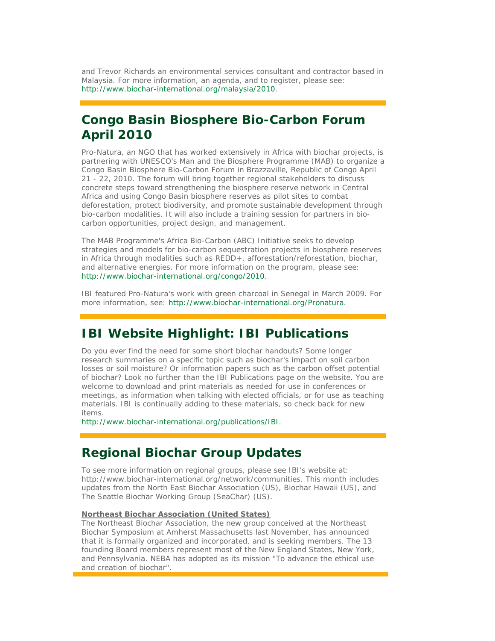and Trevor Richards an environmental services consultant and contractor based in Malaysia. For more information, an agenda, and to register, please see: http://www.biochar-international.org/malaysia/2010.

# **Congo Basin Biosphere Bio-Carbon Forum April 2010**

Pro-Natura, an NGO that has worked extensively in Africa with biochar projects, is partnering with UNESCO's Man and the Biosphere Programme (MAB) to organize a Congo Basin Biosphere Bio-Carbon Forum in Brazzaville, Republic of Congo April 21 - 22, 2010. The forum will bring together regional stakeholders to discuss concrete steps toward strengthening the biosphere reserve network in Central Africa and using Congo Basin biosphere reserves as pilot sites to combat deforestation, protect biodiversity, and promote sustainable development through bio-carbon modalities. It will also include a training session for partners in biocarbon opportunities, project design, and management.

The MAB Programme's Africa Bio-Carbon (ABC) Initiative seeks to develop strategies and models for bio-carbon sequestration projects in biosphere reserves in Africa through modalities such as REDD+, afforestation/reforestation, biochar, and alternative energies. For more information on the program, please see: http://www.biochar-international.org/congo/2010.

IBI featured Pro-Natura's work with green charcoal in Senegal in March 2009. For more information, see: http://www.biochar-international.org/Pronatura.

#### **IBI Website Highlight: IBI Publications**

Do you ever find the need for some short biochar handouts? Some longer research summaries on a specific topic such as biochar's impact on soil carbon losses or soil moisture? Or information papers such as the carbon offset potential of biochar? Look no further than the IBI Publications page on the website. You are welcome to download and print materials as needed for use in conferences or meetings, as information when talking with elected officials, or for use as teaching materials. IBI is continually adding to these materials, so check back for new items.

http://www.biochar-international.org/publications/IBI.

#### **Regional Biochar Group Updates**

To see more information on regional groups, please see IBI's website at: http://www.biochar-international.org/network/communities. This month includes updates from the North East Biochar Association (US), Biochar Hawaii (US), and The Seattle Biochar Working Group (SeaChar) (US).

#### **Northeast Biochar Association (United States)**

The Northeast Biochar Association, the new group conceived at the Northeast Biochar Symposium at Amherst Massachusetts last November, has announced that it is formally organized and incorporated, and is seeking members. The 13 founding Board members represent most of the New England States, New York, and Pennsylvania. NEBA has adopted as its mission "To advance the ethical use and creation of biochar".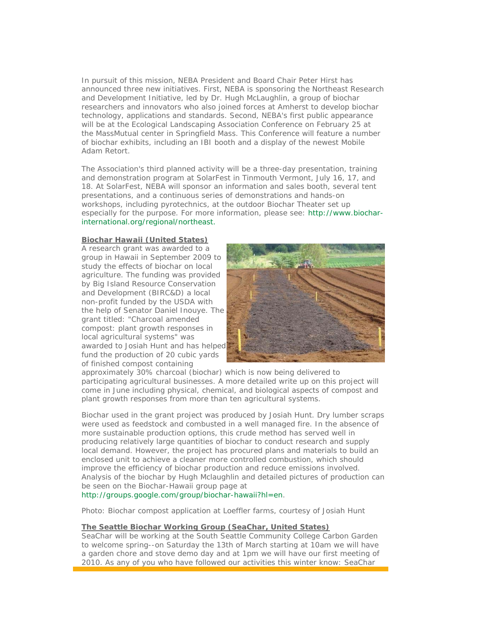In pursuit of this mission, NEBA President and Board Chair Peter Hirst has announced three new initiatives. First, NEBA is sponsoring the Northeast Research and Development Initiative, led by Dr. Hugh McLaughlin, a group of biochar researchers and innovators who also joined forces at Amherst to develop biochar technology, applications and standards. Second, NEBA's first public appearance will be at the Ecological Landscaping Association Conference on February 25 at the MassMutual center in Springfield Mass. This Conference will feature a number of biochar exhibits, including an IBI booth and a display of the newest Mobile Adam Retort.

The Association's third planned activity will be a three-day presentation, training and demonstration program at SolarFest in Tinmouth Vermont, July 16, 17, and 18. At SolarFest, NEBA will sponsor an information and sales booth, several tent presentations, and a continuous series of demonstrations and hands-on workshops, including pyrotechnics, at the outdoor Biochar Theater set up especially for the purpose. For more information, please see: http://www.biocharinternational.org/regional/northeast.

#### **Biochar Hawaii (United States)**

A research grant was awarded to a group in Hawaii in September 2009 to study the effects of biochar on local agriculture. The funding was provided by Big Island Resource Conservation and Development (BIRC&D) a local non-profit funded by the USDA with the help of Senator Daniel Inouye. The grant titled: "Charcoal amended compost: plant growth responses in local agricultural systems" was awarded to Josiah Hunt and has helped fund the production of 20 cubic yards of finished compost containing



approximately 30% charcoal (biochar) which is now being delivered to participating agricultural businesses. A more detailed write up on this project will come in June including physical, chemical, and biological aspects of compost and plant growth responses from more than ten agricultural systems.

Biochar used in the grant project was produced by Josiah Hunt. Dry lumber scraps were used as feedstock and combusted in a well managed fire. In the absence of more sustainable production options, this crude method has served well in producing relatively large quantities of biochar to conduct research and supply local demand. However, the project has procured plans and materials to build an enclosed unit to achieve a cleaner more controlled combustion, which should improve the efficiency of biochar production and reduce emissions involved. Analysis of the biochar by Hugh Mclaughlin and detailed pictures of production can be seen on the Biochar-Hawaii group page at

http://groups.google.com/group/biochar-hawaii?hl=en.

#### *Photo: Biochar compost application at Loeffler farms, courtesy of Josiah Hunt*

#### **The Seattle Biochar Working Group (SeaChar, United States)**

SeaChar will be working at the South Seattle Community College Carbon Garden to welcome spring--on Saturday the 13th of March starting at 10am we will have a garden chore and stove demo day and at 1pm we will have our first meeting of 2010. As any of you who have followed our activities this winter know: SeaChar